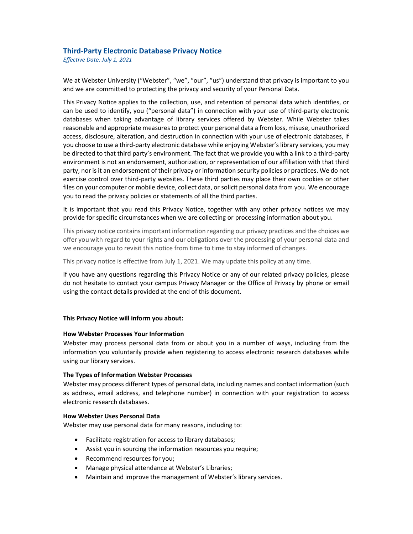# Third-Party Electronic Database Privacy Notice

Effective Date: July 1, 2021

We at Webster University ("Webster", "we", "our", "us") understand that privacy is important to you and we are committed to protecting the privacy and security of your Personal Data.

This Privacy Notice applies to the collection, use, and retention of personal data which identifies, or can be used to identify, you ("personal data") in connection with your use of third-party electronic databases when taking advantage of library services offered by Webster. While Webster takes reasonable and appropriate measures to protect your personal data a from loss, misuse, unauthorized access, disclosure, alteration, and destruction in connection with your use of electronic databases, if you choose to use a third-party electronic database while enjoying Webster's library services, you may be directed to that third party's environment. The fact that we provide you with a link to a third-party environment is not an endorsement, authorization, or representation of our affiliation with that third party, nor is it an endorsement of their privacy or information security policies or practices. We do not exercise control over third-party websites. These third parties may place their own cookies or other files on your computer or mobile device, collect data, or solicit personal data from you. We encourage you to read the privacy policies or statements of all the third parties.

It is important that you read this Privacy Notice, together with any other privacy notices we may provide for specific circumstances when we are collecting or processing information about you.

This privacy notice contains important information regarding our privacy practices and the choices we offer you with regard to your rights and our obligations over the processing of your personal data and we encourage you to revisit this notice from time to time to stay informed of changes.

This privacy notice is effective from July 1, 2021. We may update this policy at any time.

If you have any questions regarding this Privacy Notice or any of our related privacy policies, please do not hesitate to contact your campus Privacy Manager or the Office of Privacy by phone or email using the contact details provided at the end of this document.

## This Privacy Notice will inform you about:

## How Webster Processes Your Information

Webster may process personal data from or about you in a number of ways, including from the information you voluntarily provide when registering to access electronic research databases while using our library services.

## The Types of Information Webster Processes

Webster may process different types of personal data, including names and contact information (such as address, email address, and telephone number) in connection with your registration to access electronic research databases.

#### How Webster Uses Personal Data

Webster may use personal data for many reasons, including to:

- Facilitate registration for access to library databases;
- Assist you in sourcing the information resources you require;
- Recommend resources for you;
- Manage physical attendance at Webster's Libraries;
- Maintain and improve the management of Webster's library services.